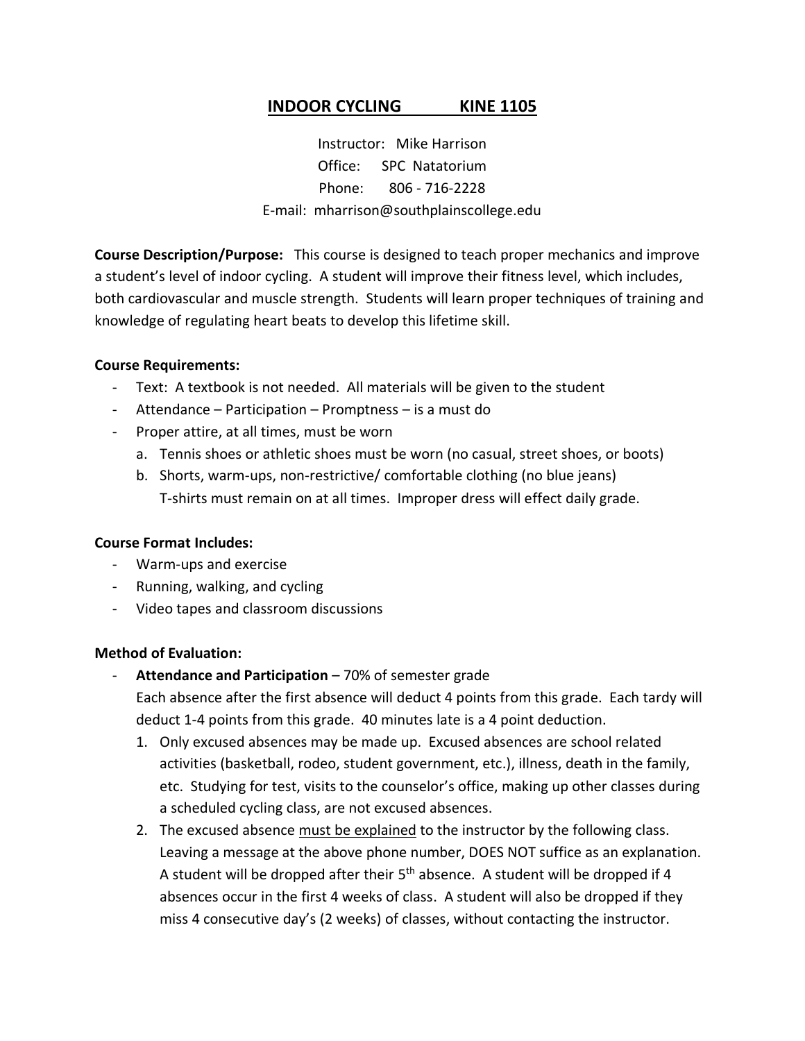# **INDOOR CYCLING KINE 1105**

Instructor: Mike Harrison Office: SPC Natatorium Phone: 806 - 716-2228 E-mail: mharrison@southplainscollege.edu

**Course Description/Purpose:** This course is designed to teach proper mechanics and improve a student's level of indoor cycling. A student will improve their fitness level, which includes, both cardiovascular and muscle strength. Students will learn proper techniques of training and knowledge of regulating heart beats to develop this lifetime skill.

#### **Course Requirements:**

- Text: A textbook is not needed. All materials will be given to the student
- Attendance Participation Promptness is a must do
- Proper attire, at all times, must be worn
	- a. Tennis shoes or athletic shoes must be worn (no casual, street shoes, or boots)
	- b. Shorts, warm-ups, non-restrictive/ comfortable clothing (no blue jeans) T-shirts must remain on at all times. Improper dress will effect daily grade.

### **Course Format Includes:**

- Warm-ups and exercise
- Running, walking, and cycling
- Video tapes and classroom discussions

### **Method of Evaluation:**

- Attendance and Participation 70% of semester grade Each absence after the first absence will deduct 4 points from this grade. Each tardy will deduct 1-4 points from this grade. 40 minutes late is a 4 point deduction.
	- 1. Only excused absences may be made up. Excused absences are school related activities (basketball, rodeo, student government, etc.), illness, death in the family, etc. Studying for test, visits to the counselor's office, making up other classes during a scheduled cycling class, are not excused absences.
	- 2. The excused absence must be explained to the instructor by the following class. Leaving a message at the above phone number, DOES NOT suffice as an explanation. A student will be dropped after their  $5<sup>th</sup>$  absence. A student will be dropped if 4 absences occur in the first 4 weeks of class. A student will also be dropped if they miss 4 consecutive day's (2 weeks) of classes, without contacting the instructor.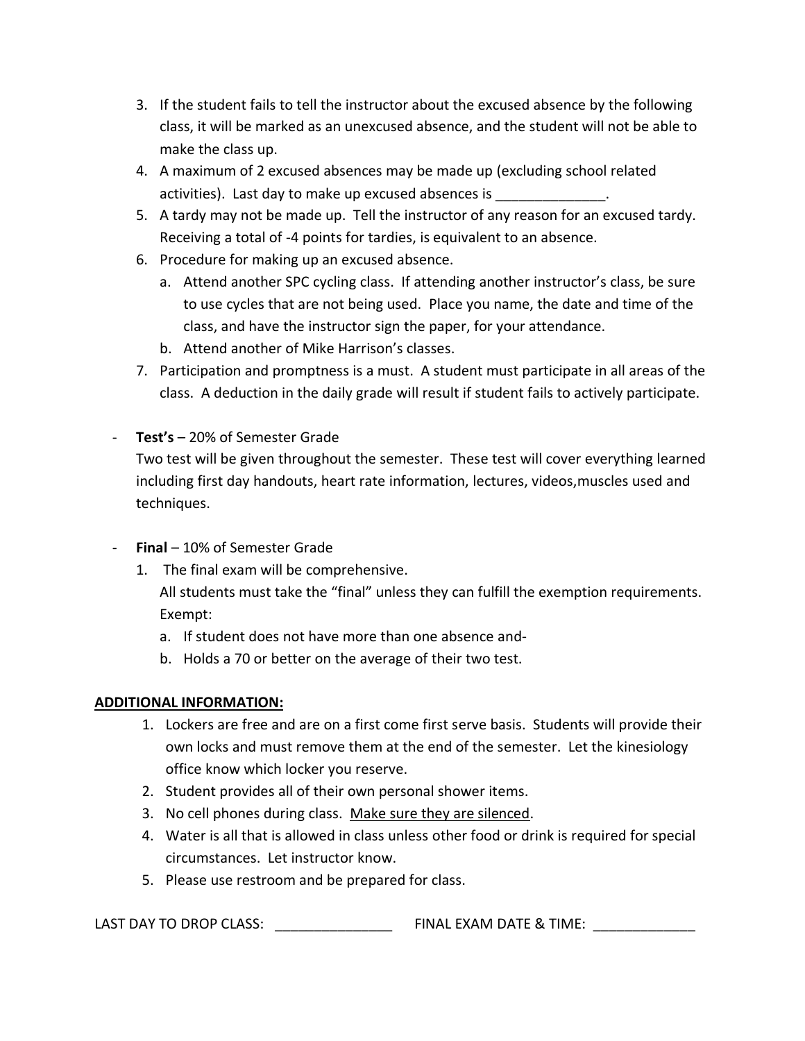- 3. If the student fails to tell the instructor about the excused absence by the following class, it will be marked as an unexcused absence, and the student will not be able to make the class up.
- 4. A maximum of 2 excused absences may be made up (excluding school related activities). Last day to make up excused absences is
- 5. A tardy may not be made up. Tell the instructor of any reason for an excused tardy. Receiving a total of -4 points for tardies, is equivalent to an absence.
- 6. Procedure for making up an excused absence.
	- a. Attend another SPC cycling class. If attending another instructor's class, be sure to use cycles that are not being used. Place you name, the date and time of the class, and have the instructor sign the paper, for your attendance.
	- b. Attend another of Mike Harrison's classes.
- 7. Participation and promptness is a must. A student must participate in all areas of the class. A deduction in the daily grade will result if student fails to actively participate.
- **Test's** 20% of Semester Grade

Two test will be given throughout the semester. These test will cover everything learned including first day handouts, heart rate information, lectures, videos,muscles used and techniques.

- **Final** 10% of Semester Grade
	- 1. The final exam will be comprehensive.

All students must take the "final" unless they can fulfill the exemption requirements. Exempt:

- a. If student does not have more than one absence and-
- b. Holds a 70 or better on the average of their two test.

## **ADDITIONAL INFORMATION:**

- 1. Lockers are free and are on a first come first serve basis. Students will provide their own locks and must remove them at the end of the semester. Let the kinesiology office know which locker you reserve.
- 2. Student provides all of their own personal shower items.
- 3. No cell phones during class. Make sure they are silenced.
- 4. Water is all that is allowed in class unless other food or drink is required for special circumstances. Let instructor know.
- 5. Please use restroom and be prepared for class.

LAST DAY TO DROP CLASS: \_\_\_\_\_\_\_\_\_\_\_\_\_\_\_ FINAL EXAM DATE & TIME: \_\_\_\_\_\_\_\_\_\_\_\_\_